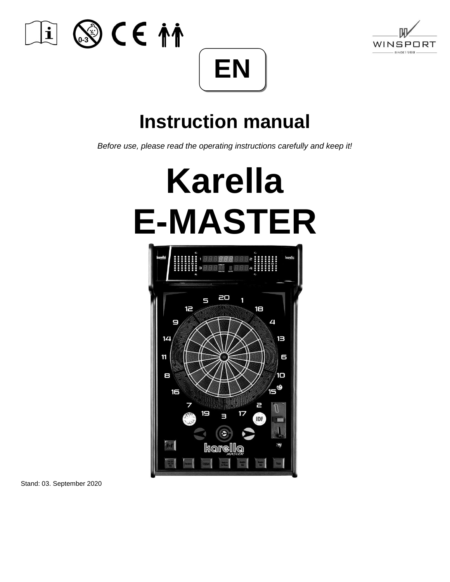





## **Instruction manual**

*Before use, please read the operating instructions carefully and keep it!*

# **Karella E-MASTER**



Stand: 03. September 2020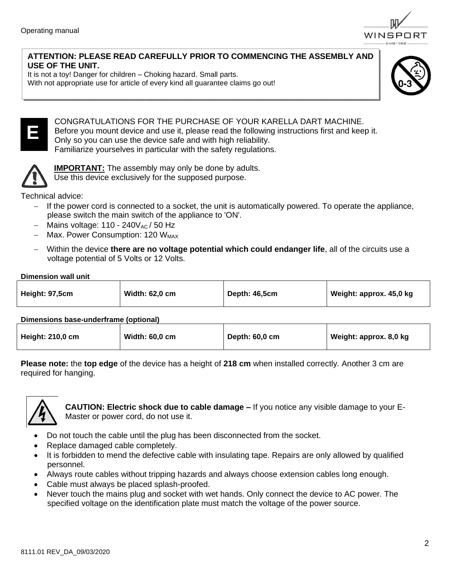

#### **ATTENTION: PLEASE READ CAREFULLY PRIOR TO COMMENCING THE ASSEMBLY AND USE OF THE UNIT.**

It is not a toy! Danger for children – Choking hazard. Small parts.

With not appropriate use for article of every kind all guarantee claims go out!





#### CONGRATULATIONS FOR THE PURCHASE OF YOUR KARELLA DART MACHINE. Before you mount device and use it, please read the following instructions first and keep it. Only so you can use the device safe and with high reliability.

Familiarize yourselves in particular with the safety regulations.



**IMPORTANT:** The assembly may only be done by adults. Use this device exclusively for the supposed purpose.

Technical advice:

- If the power cord is connected to a socket, the unit is automatically powered. To operate the appliance, please switch the main switch of the appliance to 'ON'.
- Mains voltage:  $110 240V_{AC}$  / 50 Hz
- − Max. Power Consumption: 120 WMAX
- − Within the device **there are no voltage potential which could endanger life**, all of the circuits use a voltage potential of 5 Volts or 12 Volts.

#### **Dimension wall unit**

| Height: 97,5cm | Width: 62,0 cm | Depth: 46,5cm | Weight: approx. 45,0 kg |
|----------------|----------------|---------------|-------------------------|
|                |                |               |                         |

#### **Dimensions base-underframe (optional)**

| <b>Height: 210,0 cm</b> | <b>Width: 60,0 cm</b> | Depth: 60,0 cm | Weight: approx. 8,0 kg |
|-------------------------|-----------------------|----------------|------------------------|
|                         |                       |                |                        |

**Please note:** the **top edge** of the device has a height of **218 cm** when installed correctly. Another 3 cm are required for hanging.



**CAUTION: Electric shock due to cable damage –** If you notice any visible damage to your E-Master or power cord, do not use it.

- Do not touch the cable until the plug has been disconnected from the socket.
- Replace damaged cable completely.
- It is forbidden to mend the defective cable with insulating tape. Repairs are only allowed by qualified personnel.
- Always route cables without tripping hazards and always choose extension cables long enough.
- Cable must always be placed splash-proofed.
- Never touch the mains plug and socket with wet hands. Only connect the device to AC power. The specified voltage on the identification plate must match the voltage of the power source.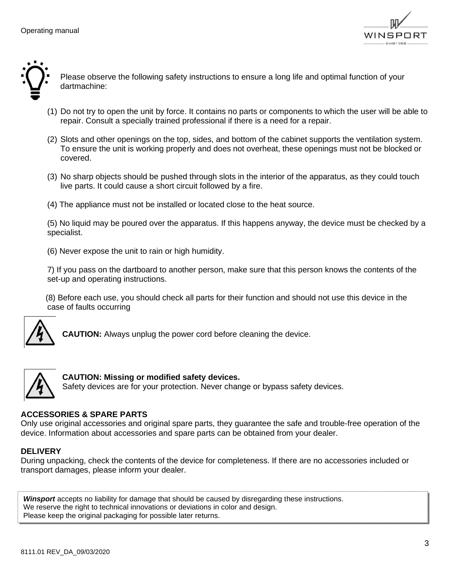



Please observe the following safety instructions to ensure a long life and optimal function of your dartmachine:

- (1) Do not try to open the unit by force. It contains no parts or components to which the user will be able to repair. Consult a specially trained professional if there is a need for a repair.
- (2) Slots and other openings on the top, sides, and bottom of the cabinet supports the ventilation system. To ensure the unit is working properly and does not overheat, these openings must not be blocked or covered.
- (3) No sharp objects should be pushed through slots in the interior of the apparatus, as they could touch live parts. It could cause a short circuit followed by a fire.
- (4) The appliance must not be installed or located close to the heat source.

(5) No liquid may be poured over the apparatus. If this happens anyway, the device must be checked by a specialist.

(6) Never expose the unit to rain or high humidity.

7) If you pass on the dartboard to another person, make sure that this person knows the contents of the set-up and operating instructions.

 (8) Before each use, you should check all parts for their function and should not use this device in the case of faults occurring



**CAUTION:** Always unplug the power cord before cleaning the device.



**CAUTION: Missing or modified safety devices.** Safety devices are for your protection. Never change or bypass safety devices.

#### **ACCESSORIES & SPARE PARTS**

Only use original accessories and original spare parts, they guarantee the safe and trouble-free operation of the device. Information about accessories and spare parts can be obtained from your dealer.

#### **DELIVERY**

During unpacking, check the contents of the device for completeness. If there are no accessories included or transport damages, please inform your dealer.

*Winsport* accepts no liability for damage that should be caused by disregarding these instructions. We reserve the right to technical innovations or deviations in color and design. Please keep the original packaging for possible later returns.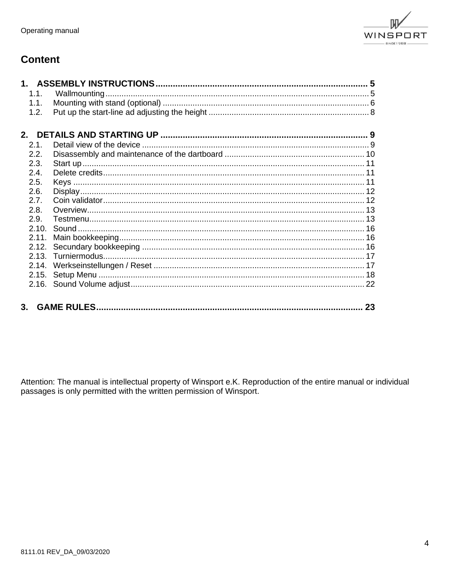

## **Content**

| 1.1.  |  |
|-------|--|
| 1.1.  |  |
| 1.2.  |  |
|       |  |
|       |  |
| 2.1.  |  |
| 2.2.  |  |
| 2.3.  |  |
| 2.4.  |  |
| 2.5.  |  |
| 2.6.  |  |
| 2.7.  |  |
| 2.8.  |  |
| 2.9.  |  |
|       |  |
| 2.11. |  |
|       |  |
|       |  |
|       |  |
|       |  |
|       |  |
|       |  |
|       |  |

Attention: The manual is intellectual property of Winsport e.K. Reproduction of the entire manual or individual passages is only permitted with the written permission of Winsport.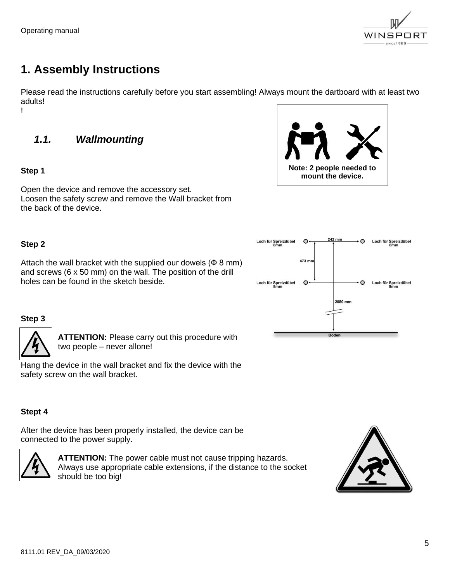

## <span id="page-4-0"></span>**1. Assembly Instructions**

Please read the instructions carefully before you start assembling! Always mount the dartboard with at least two adults! !

<span id="page-4-1"></span>*1.1. Wallmounting*

#### **Step 1**

**Note: 2 people needed to mount the device.**

Open the device and remove the accessory set. Loosen the safety screw and remove the Wall bracket from the back of the device.

#### **Step 2**

Attach the wall bracket with the supplied our dowels  $(Φ 8 mm)$ and screws (6 x 50 mm) on the wall. The position of the drill holes can be found in the sketch beside.



#### **Step 3**



**ATTENTION:** Please carry out this procedure with two people – never allone!

Hang the device in the wall bracket and fix the device with the safety screw on the wall bracket.

#### **Stept 4**

After the device has been properly installed, the device can be connected to the power supply.



**ATTENTION:** The power cable must not cause tripping hazards. Always use appropriate cable extensions, if the distance to the socket should be too big!

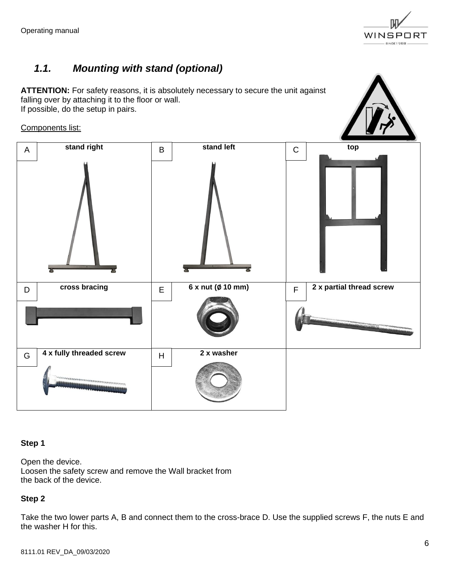

## <span id="page-5-0"></span>*1.1. Mounting with stand (optional)*

**ATTENTION:** For safety reasons, it is absolutely necessary to secure the unit against falling over by attaching it to the floor or wall. If possible, do the setup in pairs.

#### Components list:



#### **Step 1**

Open the device. Loosen the safety screw and remove the Wall bracket from the back of the device.

#### **Step 2**

Take the two lower parts A, B and connect them to the cross-brace D. Use the supplied screws F, the nuts E and the washer H for this.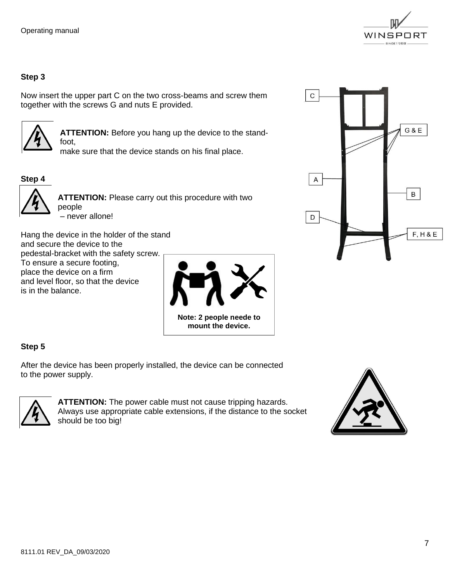

#### **Step 3**

Now insert the upper part C on the two cross-beams and screw them together with the screws G and nuts E provided.



**ATTENTION:** Before you hang up the device to the standfoot,

make sure that the device stands on his final place.

#### **Step 4**



**ATTENTION:** Please carry out this procedure with two people – never allone!

Hang the device in the holder of the stand and secure the device to the pedestal-bracket with the safety screw. To ensure a secure footing, place the device on a firm and level floor, so that the device is in the balance.



#### **Step 5**

After the device has been properly installed, the device can be connected to the power supply.



**ATTENTION:** The power cable must not cause tripping hazards. Always use appropriate cable extensions, if the distance to the socket should be too big!



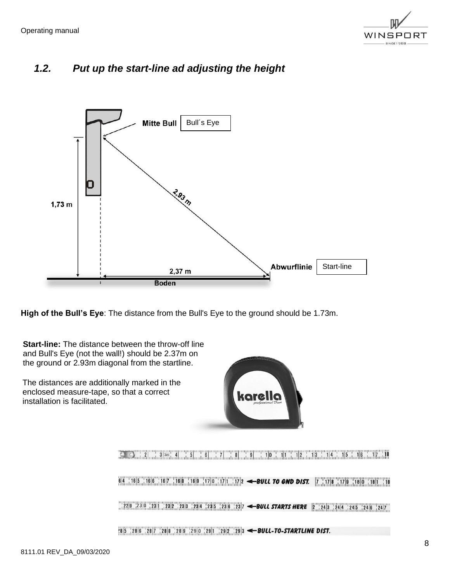

## <span id="page-7-0"></span>*1.2. Put up the start-line ad adjusting the height*



**High of the Bull's Eye**: The distance from the Bull's Eye to the ground should be 1.73m.

**Start-line:** The distance between the throw-off line and Bull's Eye (not the wall!) should be 2.37m on the ground or 2.93m diagonal from the startline.

The distances are additionally marked in the enclosed measure-tape, so that a correct installation is facilitated.



s and the comparator of the comparator of the comparator of the comparator of the comparator of the comparator<br>The comparator of the comparator of the comparator of the comparator of the comparator of the comparator of th 64 165 166 167 168 169 17|0 17|1 17|2 < BULL TO GND DIST. 7 17|8 17|9 18|0 18|1 18  $\frac{1}{22|8|}$   $\frac{23|0|}{23|1|}$   $\frac{23|2|}{23|3|}$   $\frac{23|4|}{23|5|}$   $\frac{23|6|}{23|6|}$   $\frac{23}{23|7}$  <br>**SULL STARTS HERE**  $2$   $\frac{1}{24|3|}$   $\frac{24|4|}{24|5|}$   $\frac{24|5|}{24|6|}$   $\frac{24|7|}{24|7|}$  $\frac{1}{28}$ [5  $\frac{1}{28}$ [6  $\frac{1}{28}$ ]  $\frac{1}{28}$ [8  $\frac{1}{28}$ [9  $\frac{1}{28}$ ]  $\frac{1}{28}$ [29]  $\frac{1}{28}$ [3  $\leftarrow$  BULL-TO-STARTLINE DIST.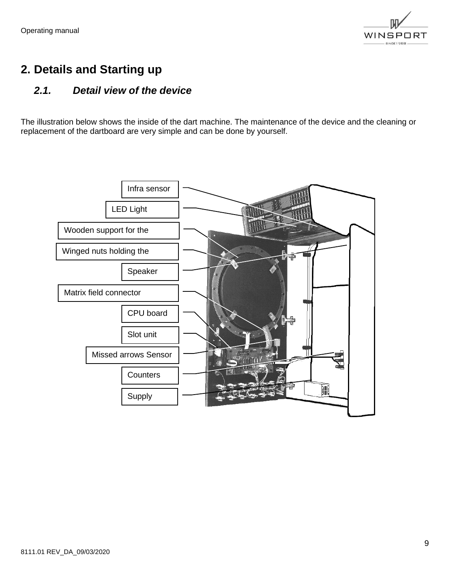

## <span id="page-8-0"></span>**2. Details and Starting up**

## <span id="page-8-1"></span>*2.1. Detail view of the device*

The illustration below shows the inside of the dart machine. The maintenance of the device and the cleaning or replacement of the dartboard are very simple and can be done by yourself.

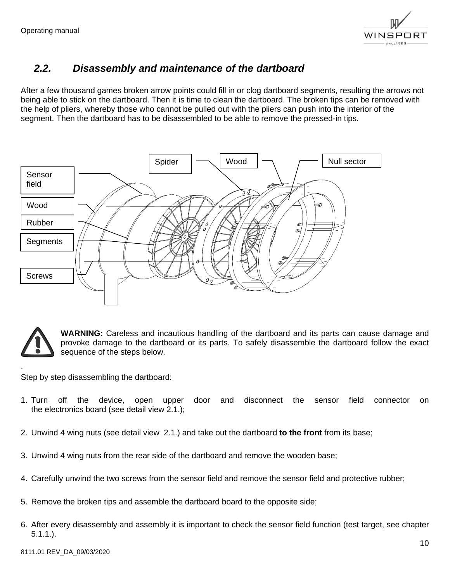

## <span id="page-9-0"></span>*2.2. Disassembly and maintenance of the dartboard*

After a few thousand games broken arrow points could fill in or clog dartboard segments, resulting the arrows not being able to stick on the dartboard. Then it is time to clean the dartboard. The broken tips can be removed with the help of pliers, whereby those who cannot be pulled out with the pliers can push into the interior of the segment. Then the dartboard has to be disassembled to be able to remove the pressed-in tips.





.

**WARNING:** Careless and incautious handling of the dartboard and its parts can cause damage and provoke damage to the dartboard or its parts. To safely disassemble the dartboard follow the exact sequence of the steps below.

Step by step disassembling the dartboard:

- 1. Turn off the device, open upper door and disconnect the sensor field connector on the electronics board (see detail view 2.1.);
- 2. Unwind 4 wing nuts (see detail view 2.1.) and take out the dartboard **to the front** from its base;
- 3. Unwind 4 wing nuts from the rear side of the dartboard and remove the wooden base;
- 4. Carefully unwind the two screws from the sensor field and remove the sensor field and protective rubber;
- 5. Remove the broken tips and assemble the dartboard board to the opposite side;
- 6. After every disassembly and assembly it is important to check the sensor field function (test target, see chapter 5.1.1.).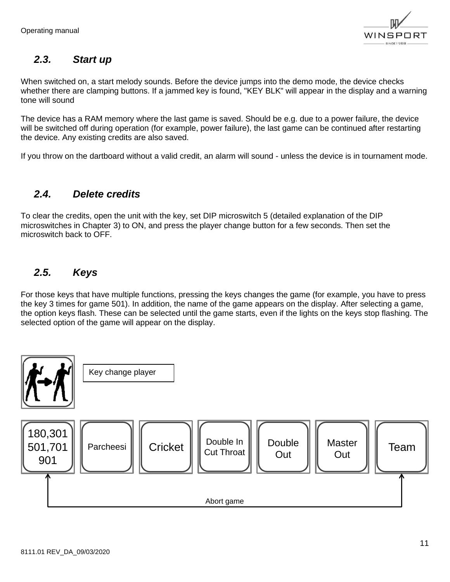

## <span id="page-10-0"></span>*2.3. Start up*

When switched on, a start melody sounds. Before the device jumps into the demo mode, the device checks whether there are clamping buttons. If a jammed key is found, "KEY BLK" will appear in the display and a warning tone will sound

The device has a RAM memory where the last game is saved. Should be e.g. due to a power failure, the device will be switched off during operation (for example, power failure), the last game can be continued after restarting the device. Any existing credits are also saved.

If you throw on the dartboard without a valid credit, an alarm will sound - unless the device is in tournament mode.

## <span id="page-10-1"></span>*2.4. Delete credits*

To clear the credits, open the unit with the key, set DIP microswitch 5 (detailed explanation of the DIP microswitches in Chapter 3) to ON, and press the player change button for a few seconds. Then set the microswitch back to OFF.

## <span id="page-10-2"></span>*2.5. Keys*

For those keys that have multiple functions, pressing the keys changes the game (for example, you have to press the key 3 times for game 501). In addition, the name of the game appears on the display. After selecting a game, the option keys flash. These can be selected until the game starts, even if the lights on the keys stop flashing. The selected option of the game will appear on the display.

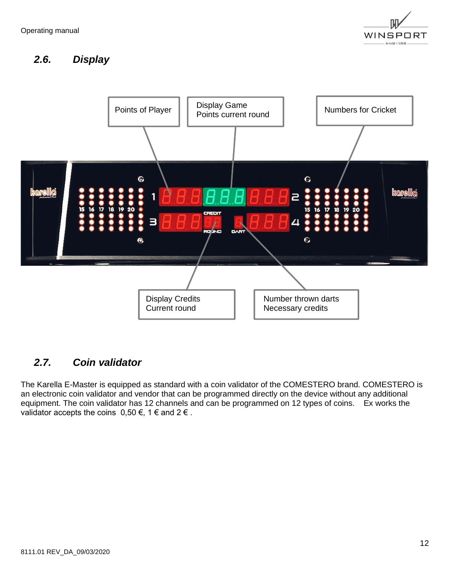

## <span id="page-11-0"></span>*2.6. Display*



## <span id="page-11-1"></span>*2.7. Coin validator*

The Karella E-Master is equipped as standard with a coin validator of the COMESTERO brand. COMESTERO is an electronic coin validator and vendor that can be programmed directly on the device without any additional equipment. The coin validator has 12 channels and can be programmed on 12 types of coins. Ex works the validator accepts the coins  $0,50 \in$ , 1  $\in$  and 2  $\in$ .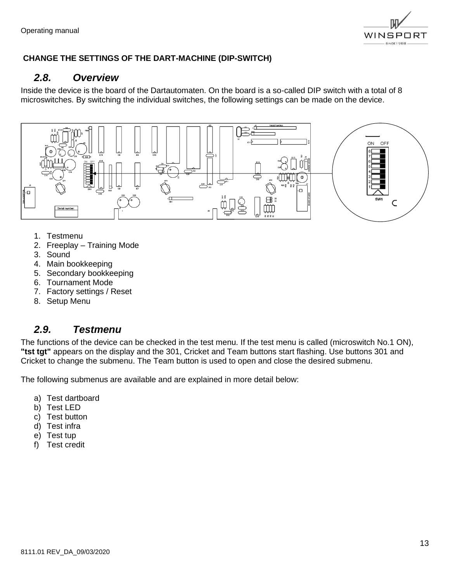

#### <span id="page-12-0"></span>**CHANGE THE SETTINGS OF THE DART-MACHINE (DIP-SWITCH)**

#### *2.8. Overview*

Inside the device is the board of the Dartautomaten. On the board is a so-called DIP switch with a total of 8 microswitches. By switching the individual switches, the following settings can be made on the device.



- 1. Testmenu
- 2. Freeplay Training Mode
- 3. Sound
- 4. Main bookkeeping
- 5. Secondary bookkeeping
- 6. Tournament Mode
- 7. Factory settings / Reset
- 8. Setup Menu

#### <span id="page-12-1"></span>*2.9. Testmenu*

The functions of the device can be checked in the test menu. If the test menu is called (microswitch No.1 ON), **"tst tgt"** appears on the display and the 301, Cricket and Team buttons start flashing. Use buttons 301 and Cricket to change the submenu. The Team button is used to open and close the desired submenu.

The following submenus are available and are explained in more detail below:

- a) Test dartboard
- b) Test LED
- c) Test button
- d) Test infra
- e) Test tup
- f) Test credit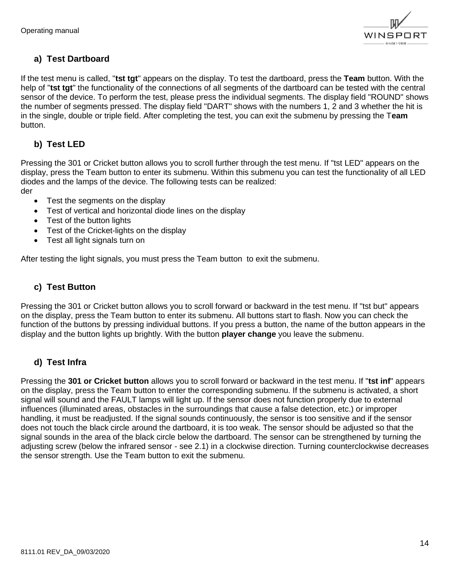

#### **a) Test Dartboard**

If the test menu is called, "**tst tgt**" appears on the display. To test the dartboard, press the **Team** button. With the help of "**tst tgt**" the functionality of the connections of all segments of the dartboard can be tested with the central sensor of the device. To perform the test, please press the individual segments. The display field "ROUND" shows the number of segments pressed. The display field "DART" shows with the numbers 1, 2 and 3 whether the hit is in the single, double or triple field. After completing the test, you can exit the submenu by pressing the T**eam** button.

#### **b) Test LED**

Pressing the 301 or Cricket button allows you to scroll further through the test menu. If "tst LED" appears on the display, press the Team button to enter its submenu. Within this submenu you can test the functionality of all LED diodes and the lamps of the device. The following tests can be realized: der

- Test the segments on the display
- Test of vertical and horizontal diode lines on the display
- Test of the button lights
- Test of the Cricket-lights on the display
- Test all light signals turn on

After testing the light signals, you must press the Team button to exit the submenu.

#### **c) Test Button**

Pressing the 301 or Cricket button allows you to scroll forward or backward in the test menu. If "tst but" appears on the display, press the Team button to enter its submenu. All buttons start to flash. Now you can check the function of the buttons by pressing individual buttons. If you press a button, the name of the button appears in the display and the button lights up brightly. With the button **player change** you leave the submenu.

#### **d) Test Infra**

Pressing the **301 or Cricket button** allows you to scroll forward or backward in the test menu. If "**tst inf**" appears on the display, press the Team button to enter the corresponding submenu. If the submenu is activated, a short signal will sound and the FAULT lamps will light up. If the sensor does not function properly due to external influences (illuminated areas, obstacles in the surroundings that cause a false detection, etc.) or improper handling, it must be readjusted. If the signal sounds continuously, the sensor is too sensitive and if the sensor does not touch the black circle around the dartboard, it is too weak. The sensor should be adjusted so that the signal sounds in the area of the black circle below the dartboard. The sensor can be strengthened by turning the adjusting screw (below the infrared sensor - see 2.1) in a clockwise direction. Turning counterclockwise decreases the sensor strength. Use the Team button to exit the submenu.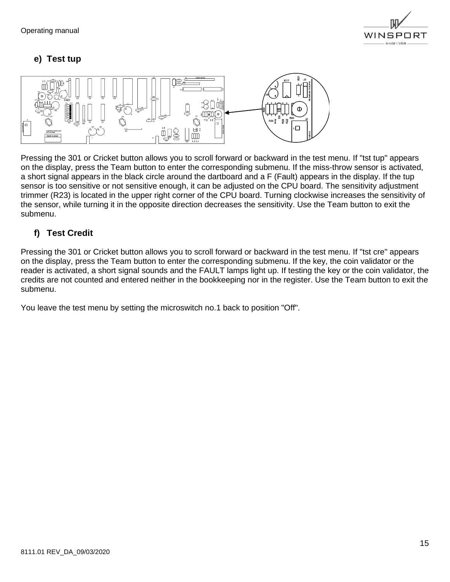

#### **e) Test tup**



Pressing the 301 or Cricket button allows you to scroll forward or backward in the test menu. If "tst tup" appears on the display, press the Team button to enter the corresponding submenu. If the miss-throw sensor is activated, a short signal appears in the black circle around the dartboard and a F (Fault) appears in the display. If the tup sensor is too sensitive or not sensitive enough, it can be adjusted on the CPU board. The sensitivity adjustment trimmer (R23) is located in the upper right corner of the CPU board. Turning clockwise increases the sensitivity of the sensor, while turning it in the opposite direction decreases the sensitivity. Use the Team button to exit the submenu.

#### **f) Test Credit**

Pressing the 301 or Cricket button allows you to scroll forward or backward in the test menu. If "tst cre" appears on the display, press the Team button to enter the corresponding submenu. If the key, the coin validator or the reader is activated, a short signal sounds and the FAULT lamps light up. If testing the key or the coin validator, the credits are not counted and entered neither in the bookkeeping nor in the register. Use the Team button to exit the submenu.

You leave the test menu by setting the microswitch no.1 back to position "Off".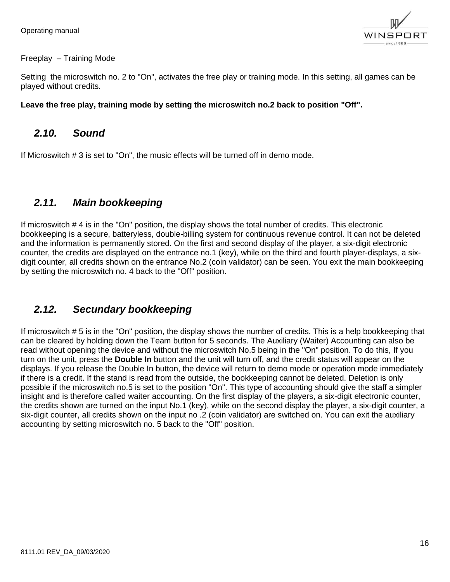

#### Freeplay – Training Mode

Setting the microswitch no. 2 to "On", activates the free play or training mode. In this setting, all games can be played without credits.

#### **Leave the free play, training mode by setting the microswitch no.2 back to position "Off".**

#### <span id="page-15-0"></span>*2.10. Sound*

If Microswitch # 3 is set to "On", the music effects will be turned off in demo mode.

## <span id="page-15-1"></span>*2.11. Main bookkeeping*

If microswitch # 4 is in the "On" position, the display shows the total number of credits. This electronic bookkeeping is a secure, batteryless, double-billing system for continuous revenue control. It can not be deleted and the information is permanently stored. On the first and second display of the player, a six-digit electronic counter, the credits are displayed on the entrance no.1 (key), while on the third and fourth player-displays, a sixdigit counter, all credits shown on the entrance No.2 (coin validator) can be seen. You exit the main bookkeeping by setting the microswitch no. 4 back to the "Off" position.

## <span id="page-15-2"></span>*2.12. Secundary bookkeeping*

If microswitch # 5 is in the "On" position, the display shows the number of credits. This is a help bookkeeping that can be cleared by holding down the Team button for 5 seconds. The Auxiliary (Waiter) Accounting can also be read without opening the device and without the microswitch No.5 being in the "On" position. To do this, If you turn on the unit, press the **Double In** button and the unit will turn off, and the credit status will appear on the displays. If you release the Double In button, the device will return to demo mode or operation mode immediately if there is a credit. If the stand is read from the outside, the bookkeeping cannot be deleted. Deletion is only possible if the microswitch no.5 is set to the position "On". This type of accounting should give the staff a simpler insight and is therefore called waiter accounting. On the first display of the players, a six-digit electronic counter, the credits shown are turned on the input No.1 (key), while on the second display the player, a six-digit counter, a six-digit counter, all credits shown on the input no .2 (coin validator) are switched on. You can exit the auxiliary accounting by setting microswitch no. 5 back to the "Off" position.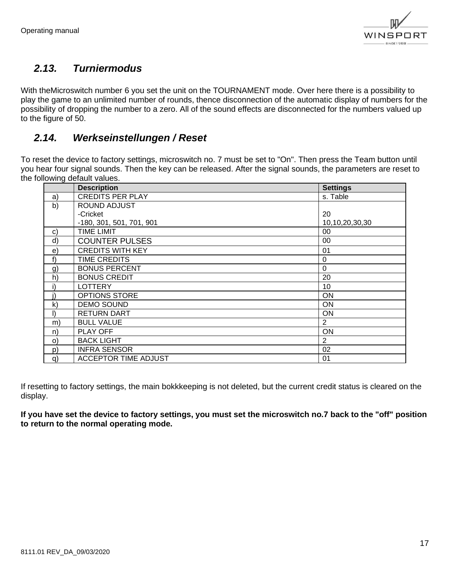

## <span id="page-16-0"></span>*2.13. Turniermodus*

With theMicroswitch number 6 you set the unit on the TOURNAMENT mode. Over here there is a possibility to play the game to an unlimited number of rounds, thence disconnection of the automatic display of numbers for the possibility of dropping the number to a zero. All of the sound effects are disconnected for the numbers valued up to the figure of 50.

## <span id="page-16-1"></span>*2.14. Werkseinstellungen / Reset*

To reset the device to factory settings, microswitch no. 7 must be set to "On". Then press the Team button until you hear four signal sounds. Then the key can be released. After the signal sounds, the parameters are reset to the following default values.

|              | <b>Description</b>          | <b>Settings</b> |
|--------------|-----------------------------|-----------------|
| a)           | <b>CREDITS PER PLAY</b>     | s. Table        |
| b)           | ROUND ADJUST                |                 |
|              | -Cricket                    | 20              |
|              | -180, 301, 501, 701, 901    | 10,10,20,30,30  |
| C)           | <b>TIME LIMIT</b>           | 00              |
| d)           | <b>COUNTER PULSES</b>       | 00              |
| e)           | <b>CREDITS WITH KEY</b>     | 01              |
| f)           | <b>TIME CREDITS</b>         | 0               |
| g)           | <b>BONUS PERCENT</b>        | $\mathbf 0$     |
| h)           | <b>BONUS CREDIT</b>         | 20              |
|              | <b>LOTTERY</b>              | 10              |
|              | OPTIONS STORE               | <b>ON</b>       |
| $\mathsf{k}$ | <b>DEMO SOUND</b>           | <b>ON</b>       |
| $\mathsf{I}$ | <b>RETURN DART</b>          | ON              |
| m)           | <b>BULL VALUE</b>           | $\overline{2}$  |
| n)           | PLAY OFF                    | ON              |
| $\circ)$     | <b>BACK LIGHT</b>           | 2               |
| p)           | <b>INFRA SENSOR</b>         | 02              |
| q)           | <b>ACCEPTOR TIME ADJUST</b> | 01              |

If resetting to factory settings, the main bokkkeeping is not deleted, but the current credit status is cleared on the display.

**If you have set the device to factory settings, you must set the microswitch no.7 back to the "off" position to return to the normal operating mode.**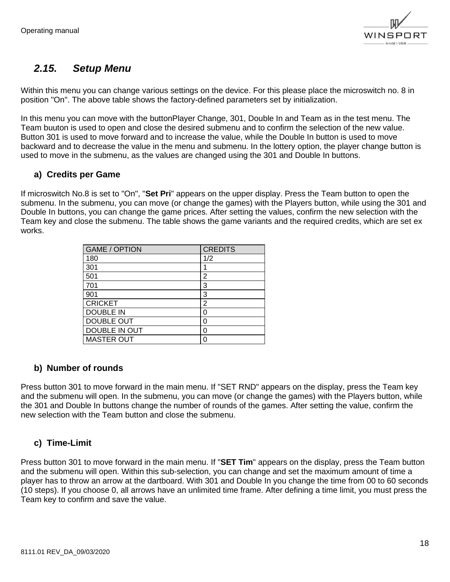

## <span id="page-17-0"></span>*2.15. Setup Menu*

Within this menu you can change various settings on the device. For this please place the microswitch no. 8 in position "On". The above table shows the factory-defined parameters set by initialization.

In this menu you can move with the buttonPlayer Change, 301, Double In and Team as in the test menu. The Team buuton is used to open and close the desired submenu and to confirm the selection of the new value. Button 301 is used to move forward and to increase the value, while the Double In button is used to move backward and to decrease the value in the menu and submenu. In the lottery option, the player change button is used to move in the submenu, as the values are changed using the 301 and Double In buttons.

#### **a) Credits per Game**

If microswitch No.8 is set to "On", "**Set Pri**" appears on the upper display. Press the Team button to open the submenu. In the submenu, you can move (or change the games) with the Players button, while using the 301 and Double In buttons, you can change the game prices. After setting the values, confirm the new selection with the Team key and close the submenu. The table shows the game variants and the required credits, which are set ex works.

| <b>GAME / OPTION</b> | <b>CREDITS</b> |
|----------------------|----------------|
| 180                  | 1/2            |
| 301                  |                |
| 501                  | 2              |
| 701                  | 3              |
| 901                  | 3              |
| <b>CRICKET</b>       | 2              |
| <b>DOUBLE IN</b>     | 0              |
| <b>DOUBLE OUT</b>    | U              |
| DOUBLE IN OUT        | Ω              |
| <b>MASTER OUT</b>    | Ω              |

#### **b) Number of rounds**

Press button 301 to move forward in the main menu. If "SET RND" appears on the display, press the Team key and the submenu will open. In the submenu, you can move (or change the games) with the Players button, while the 301 and Double In buttons change the number of rounds of the games. After setting the value, confirm the new selection with the Team button and close the submenu.

#### **c) Time-Limit**

Press button 301 to move forward in the main menu. If "**SET Tim**" appears on the display, press the Team button and the submenu will open. Within this sub-selection, you can change and set the maximum amount of time a player has to throw an arrow at the dartboard. With 301 and Double In you change the time from 00 to 60 seconds (10 steps). If you choose 0, all arrows have an unlimited time frame. After defining a time limit, you must press the Team key to confirm and save the value.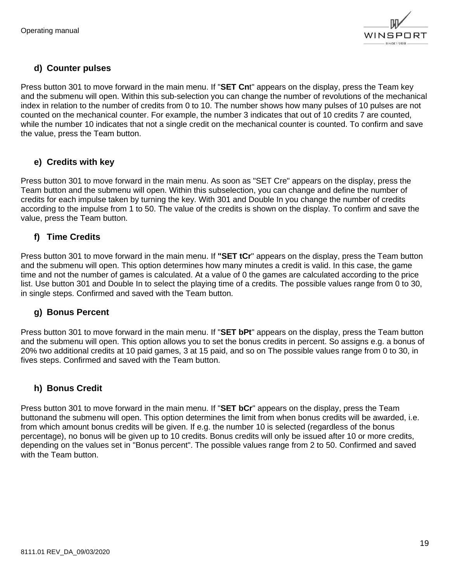

#### **d) Counter pulses**

Press button 301 to move forward in the main menu. If "**SET Cn**t" appears on the display, press the Team key and the submenu will open. Within this sub-selection you can change the number of revolutions of the mechanical index in relation to the number of credits from 0 to 10. The number shows how many pulses of 10 pulses are not counted on the mechanical counter. For example, the number 3 indicates that out of 10 credits 7 are counted, while the number 10 indicates that not a single credit on the mechanical counter is counted. To confirm and save the value, press the Team button.

#### **e) Credits with key**

Press button 301 to move forward in the main menu. As soon as "SET Cre" appears on the display, press the Team button and the submenu will open. Within this subselection, you can change and define the number of credits for each impulse taken by turning the key. With 301 and Double In you change the number of credits according to the impulse from 1 to 50. The value of the credits is shown on the display. To confirm and save the value, press the Team button.

#### **f) Time Credits**

Press button 301 to move forward in the main menu. If **"SET tCr**" appears on the display, press the Team button and the submenu will open. This option determines how many minutes a credit is valid. In this case, the game time and not the number of games is calculated. At a value of 0 the games are calculated according to the price list. Use button 301 and Double In to select the playing time of a credits. The possible values range from 0 to 30, in single steps. Confirmed and saved with the Team button.

#### **g) Bonus Percent**

Press button 301 to move forward in the main menu. If "**SET bPt**" appears on the display, press the Team button and the submenu will open. This option allows you to set the bonus credits in percent. So assigns e.g. a bonus of 20% two additional credits at 10 paid games, 3 at 15 paid, and so on The possible values range from 0 to 30, in fives steps. Confirmed and saved with the Team button.

#### **h) Bonus Credit**

Press button 301 to move forward in the main menu. If "**SET bCr**" appears on the display, press the Team buttonand the submenu will open. This option determines the limit from when bonus credits will be awarded, i.e. from which amount bonus credits will be given. If e.g. the number 10 is selected (regardless of the bonus percentage), no bonus will be given up to 10 credits. Bonus credits will only be issued after 10 or more credits, depending on the values set in "Bonus percent". The possible values range from 2 to 50. Confirmed and saved with the Team button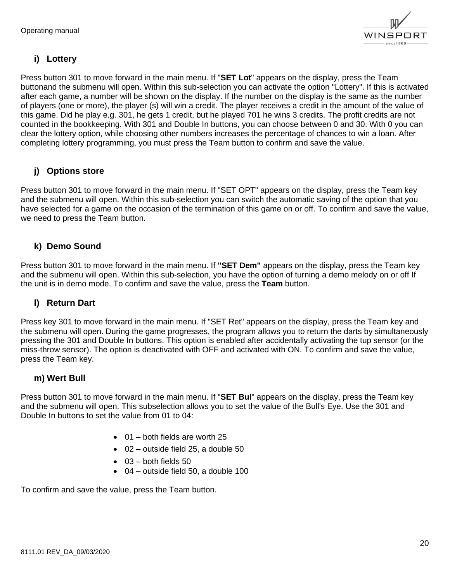

#### **i) Lottery**

Press button 301 to move forward in the main menu. If "**SET Lot**" appears on the display, press the Team buttonand the submenu will open. Within this sub-selection you can activate the option "Lottery". If this is activated after each game, a number will be shown on the display. If the number on the display is the same as the number of players (one or more), the player (s) will win a credit. The player receives a credit in the amount of the value of this game. Did he play e.g. 301, he gets 1 credit, but he played 701 he wins 3 credits. The profit credits are not counted in the bookkeeping. With 301 and Double In buttons, you can choose between 0 and 30. With 0 you can clear the lottery option, while choosing other numbers increases the percentage of chances to win a loan. After completing lottery programming, you must press the Team button to confirm and save the value.

#### **j) Options store**

Press button 301 to move forward in the main menu. If "SET OPT" appears on the display, press the Team key and the submenu will open. Within this sub-selection you can switch the automatic saving of the option that you have selected for a game on the occasion of the termination of this game on or off. To confirm and save the value, we need to press the Team button.

#### **k) Demo Sound**

Press button 301 to move forward in the main menu. If **"SET Dem"** appears on the display, press the Team key and the submenu will open. Within this sub-selection, you have the option of turning a demo melody on or off If the unit is in demo mode. To confirm and save the value, press the **Team** button.

#### **l) Return Dart**

Press key 301 to move forward in the main menu. If "SET Ret" appears on the display, press the Team key and the submenu will open. During the game progresses, the program allows you to return the darts by simultaneously pressing the 301 and Double In buttons. This option is enabled after accidentally activating the tup sensor (or the miss-throw sensor). The option is deactivated with OFF and activated with ON. To confirm and save the value, press the Team key.

#### **m) Wert Bull**

Press button 301 to move forward in the main menu. If "**SET Bul**" appears on the display, press the Team key and the submenu will open. This subselection allows you to set the value of the Bull's Eye. Use the 301 and Double In buttons to set the value from 01 to 04:

- $\bullet$  01 both fields are worth 25
- $\bullet$  02 outside field 25, a double 50
- 03 both fields 50
- 04 outside field 50, a double 100

To confirm and save the value, press the Team button.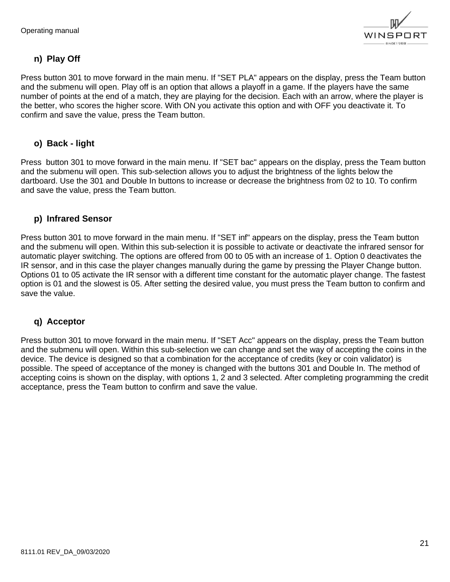

#### **n) Play Off**

Press button 301 to move forward in the main menu. If "SET PLA" appears on the display, press the Team button and the submenu will open. Play off is an option that allows a playoff in a game. If the players have the same number of points at the end of a match, they are playing for the decision. Each with an arrow, where the player is the better, who scores the higher score. With ON you activate this option and with OFF you deactivate it. To confirm and save the value, press the Team button.

#### **o) Back - light**

Press button 301 to move forward in the main menu. If "SET bac" appears on the display, press the Team button and the submenu will open. This sub-selection allows you to adjust the brightness of the lights below the dartboard. Use the 301 and Double In buttons to increase or decrease the brightness from 02 to 10. To confirm and save the value, press the Team button.

#### **p) Infrared Sensor**

Press button 301 to move forward in the main menu. If "SET inf" appears on the display, press the Team button and the submenu will open. Within this sub-selection it is possible to activate or deactivate the infrared sensor for automatic player switching. The options are offered from 00 to 05 with an increase of 1. Option 0 deactivates the IR sensor, and in this case the player changes manually during the game by pressing the Player Change button. Options 01 to 05 activate the IR sensor with a different time constant for the automatic player change. The fastest option is 01 and the slowest is 05. After setting the desired value, you must press the Team button to confirm and save the value.

#### **q) Acceptor**

Press button 301 to move forward in the main menu. If "SET Acc" appears on the display, press the Team button and the submenu will open. Within this sub-selection we can change and set the way of accepting the coins in the device. The device is designed so that a combination for the acceptance of credits (key or coin validator) is possible. The speed of acceptance of the money is changed with the buttons 301 and Double In. The method of accepting coins is shown on the display, with options 1, 2 and 3 selected. After completing programming the credit acceptance, press the Team button to confirm and save the value.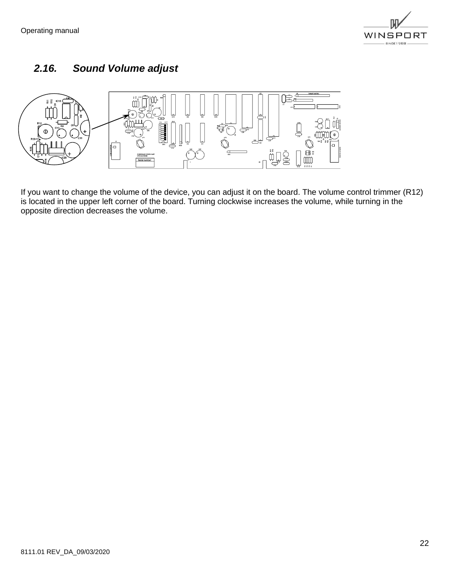

## <span id="page-21-0"></span>*2.16. Sound Volume adjust*



If you want to change the volume of the device, you can adjust it on the board. The volume control trimmer (R12) is located in the upper left corner of the board. Turning clockwise increases the volume, while turning in the opposite direction decreases the volume.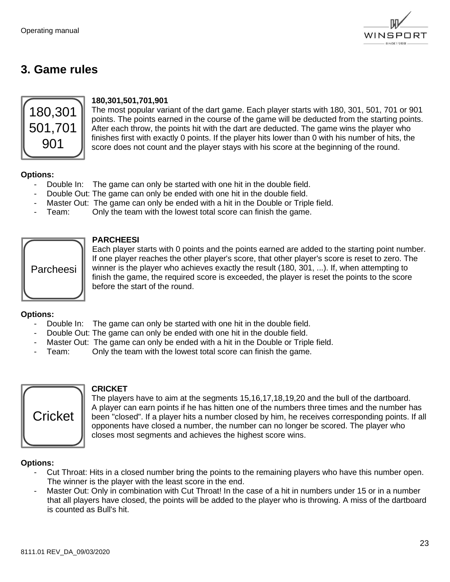

## <span id="page-22-0"></span>**3. Game rules**



#### **180,301,501,701,901**

The most popular variant of the dart game. Each player starts with 180, 301, 501, 701 or 901 points. The points earned in the course of the game will be deducted from the starting points. After each throw, the points hit with the dart are deducted. The game wins the player who finishes first with exactly 0 points. If the player hits lower than 0 with his number of hits, the score does not count and the player stays with his score at the beginning of the round.

#### **Options:**

- Double In: The game can only be started with one hit in the double field.
- Double Out: The game can only be ended with one hit in the double field.
- Master Out: The game can only be ended with a hit in the Double or Triple field.
- Team: Only the team with the lowest total score can finish the game.



#### **PARCHEESI**

Each player starts with 0 points and the points earned are added to the starting point number. If one player reaches the other player's score, that other player's score is reset to zero. The winner is the player who achieves exactly the result (180, 301, ...). If, when attempting to finish the game, the required score is exceeded, the player is reset the points to the score before the start of the round.

#### **Options:**

- Double In: The game can only be started with one hit in the double field.
- Double Out: The game can only be ended with one hit in the double field.
- Master Out: The game can only be ended with a hit in the Double or Triple field.
- Team: Only the team with the lowest total score can finish the game.



#### **CRICKET**

The players have to aim at the segments 15,16,17,18,19,20 and the bull of the dartboard. A player can earn points if he has hitten one of the numbers three times and the number has been "closed". If a player hits a number closed by him, he receives corresponding points. If all opponents have closed a number, the number can no longer be scored. The player who closes most segments and achieves the highest score wins.

#### **Options:**

- Cut Throat: Hits in a closed number bring the points to the remaining players who have this number open. The winner is the player with the least score in the end.
- Master Out: Only in combination with Cut Throat! In the case of a hit in numbers under 15 or in a number that all players have closed, the points will be added to the player who is throwing. A miss of the dartboard is counted as Bull's hit.